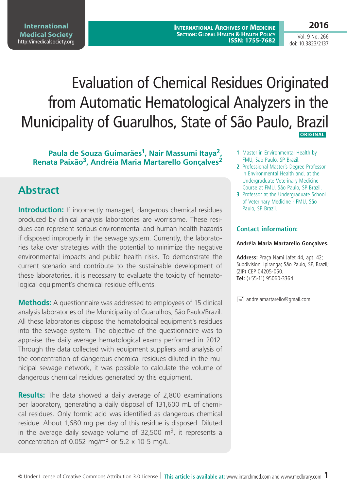**International Archives of Medicine Section: Global Health & Health Policy ISSN: 1755-7682** **2016**

Vol. 9 No. 266 doi: 10.3823/2137

# Evaluation of Chemical Residues Originated from Automatic Hematological Analyzers in the Municipality of Guarulhos, State of São Paulo, Brazil **ORIGINAL**

### **Paula de Souza Guimarães1, Nair Massumi Itaya2, Renata Paixão3, Andréia Maria Martarello Gonçalves2**

# **Abstract**

**Introduction:** If incorrectly managed, dangerous chemical residues produced by clinical analysis laboratories are worrisome. These residues can represent serious environmental and human health hazards if disposed improperly in the sewage system. Currently, the laboratories take over strategies with the potential to minimize the negative environmental impacts and public health risks. To demonstrate the current scenario and contribute to the sustainable development of these laboratories, it is necessary to evaluate the toxicity of hematological equipment´s chemical residue effluents.

**Methods:** A questionnaire was addressed to employees of 15 clinical analysis laboratories of the Municipality of Guarulhos, São Paulo/Brazil. All these laboratories dispose the hematological equipment's residues into the sewage system. The objective of the questionnaire was to appraise the daily average hematological exams performed in 2012. Through the data collected with equipment suppliers and analysis of the concentration of dangerous chemical residues diluted in the municipal sewage network, it was possible to calculate the volume of dangerous chemical residues generated by this equipment.

**Results:** The data showed a daily average of 2,800 examinations per laboratory, generating a daily disposal of 131,600 mL of chemical residues. Only formic acid was identified as dangerous chemical residue. About 1,680 mg per day of this residue is disposed. Diluted in the average daily sewage volume of 32,500  $\mathrm{m}^3$ , it represents a concentration of 0.052 mg/m<sup>3</sup> or 5.2 x 10-5 mg/L.

- **1** Master in Environmental Health by FMU, São Paulo, SP Brazil.
- **2** Professional Master's Degree Professor in Environmental Health and, at the Undergraduate Veterinary Medicine Course at FMU, São Paulo, SP Brazil.
- **3** Professor at the Undergraduate School of Veterinary Medicine - FMU, São Paulo, SP Brazil.

### **Contact information:**

#### **Andréia Maria Martarello Gonçalves.**

**Address:** Praça Nami Jafet 44, apt. 42; Subdivision: Ipiranga; São Paulo, SP, Brazil; (ZIP) CEP 04205-050. **Tel:** (+55-11) 95060-3364.

 $\equiv$  andreiamartarello@gmail.com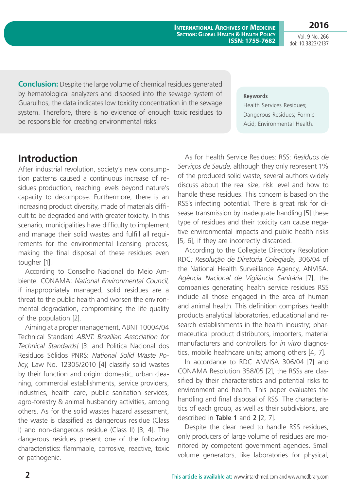**International Archives of Medicine Section: Global Health & Health Policy ISSN: 1755-7682**

**2016** Vol. 9 No. 266

doi: 10.3823/2137

**Conclusion:** Despite the large volume of chemical residues generated by hematological analyzers and disposed into the sewage system of Guarulhos, the data indicates low toxicity concentration in the sewage system. Therefore, there is no evidence of enough toxic residues to be responsible for creating environmental risks.

#### **Keywords**

Health Services Residues; Dangerous Residues; Formic Acid; Environmental Health.

## **Introduction**

After industrial revolution, society's new consumption patterns caused a continuous increase of residues production, reaching levels beyond nature's capacity to decompose. Furthermore, there is an increasing product diversity, made of materials difficult to be degraded and with greater toxicity. In this scenario, municipalities have difficulty to implement and manage their solid wastes and fulfill all requirements for the environmental licensing process, making the final disposal of these residues even tougher [1].

According to Conselho Nacional do Meio Ambiente: CONAMA: *National Environmental Council*, if inappropriately managed, solid residues are a threat to the public health and worsen the environmental degradation, compromising the life quality of the population [2].

Aiming at a proper management, ABNT 10004/04 Technical Standard *ABNT: Brazilian Association for Technical Standards]* [3] and Politica Nacional dos Residuos Sólidos PNRS: *National Solid Waste Policy*, Law No. 12305/2010 [4] classify solid wastes by their function and origin: domestic, urban cleaning, commercial establishments, service providers, industries, health care, public sanitation services, agro-forestry & animal husbandry activities, among others. As for the solid wastes hazard assessment, the waste is classified as dangerous residue (Class I) and non-dangerous residue (Class II) [3, 4]. The dangerous residues present one of the following characteristics: flammable, corrosive, reactive, toxic or pathogenic.

As for Health Service Residues: RSS: *Resíduos de Serviços de Saude,* although they only represent 1% of the produced solid waste, several authors widely discuss about the real size, risk level and how to handle these residues. This concern is based on the RSS´s infecting potential. There is great risk for disease transmission by inadequate handling [5] these type of residues and their toxicity can cause negative environmental impacts and public health risks [5, 6], if they are incorrectly discarded.

According to the Collegiate Directory Resolution RDC*: Resolução de Diretoria Colegiada,* 306/04 of the National Health Surveillance Agency, ANVISA*: Agência Nacional de Vigilância Sanitária* [7], the companies generating health service residues RSS include all those engaged in the area of human and animal health. This definition comprises health products analytical laboratories, educational and research establishments in the health industry; pharmaceutical product distributors, importers, material manufacturers and controllers for *in vitro* diagnostics, mobile healthcare units; among others [4, 7].

In accordance to RDC ANVISA 306/04 [7] and CONAMA Resolution 358/05 [2], the RSSs are classified by their characteristics and potential risks to environment and health. This paper evaluates the handling and final disposal of RSS. The characteristics of each group, as well as their subdivisions, are described in **Table 1** and **2** [2, 7].

Despite the clear need to handle RSS residues, only producers of large volume of residues are monitored by competent government agencies. Small volume generators, like laboratories for physical,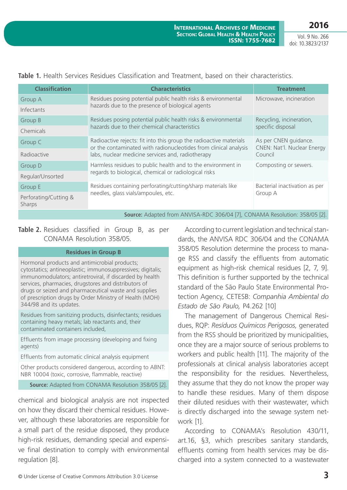Vol. 9 No. 266 doi: 10.3823/2137

|  |  |  |  |  |  |  |  |  |  | Table 1. Health Services Residues Classification and Treatment, based on their characteristics. |
|--|--|--|--|--|--|--|--|--|--|-------------------------------------------------------------------------------------------------|
|--|--|--|--|--|--|--|--|--|--|-------------------------------------------------------------------------------------------------|

| <b>Classification</b>           | <b>Characteristics</b>                                                                                                                                                                                                                                                                                                                                                    | <b>Treatment</b>                                                |  |
|---------------------------------|---------------------------------------------------------------------------------------------------------------------------------------------------------------------------------------------------------------------------------------------------------------------------------------------------------------------------------------------------------------------------|-----------------------------------------------------------------|--|
| Group A                         | Residues posing potential public health risks & environmental                                                                                                                                                                                                                                                                                                             | Microwave, incineration                                         |  |
| Infectants                      | hazards due to the presence of biological agents                                                                                                                                                                                                                                                                                                                          |                                                                 |  |
| Group B                         | Residues posing potential public health risks & environmental                                                                                                                                                                                                                                                                                                             | Recycling, incineration,                                        |  |
| Chemicals                       | hazards due to their chemical characteristics                                                                                                                                                                                                                                                                                                                             | specific disposal                                               |  |
| Group C                         | Radioactive rejects: fit into this group the radioactive materials<br>or the contaminated with radionucleotides from clinical analysis                                                                                                                                                                                                                                    | As per CNEN guidance.<br>CNEN: Nat'l. Nuclear Energy<br>Council |  |
| Radioactive                     | labs, nuclear medicine services and, radiotherapy                                                                                                                                                                                                                                                                                                                         |                                                                 |  |
| Group D                         | Harmless residues to public health and to the environment in                                                                                                                                                                                                                                                                                                              | Composting or sewers.                                           |  |
| Regular/Unsorted                | regards to biological, chemical or radiological risks                                                                                                                                                                                                                                                                                                                     |                                                                 |  |
| Group E                         | Residues containing perforating/cutting/sharp materials like                                                                                                                                                                                                                                                                                                              | Bacterial inactivation as per                                   |  |
| Perforating/Cutting &<br>Sharps | needles, glass vials/ampoules, etc.                                                                                                                                                                                                                                                                                                                                       | Group A                                                         |  |
|                                 | $\lambda$ but $\lambda$ is $\lambda$ is $\lambda$ is $\lambda$ is $\lambda$ is $\lambda$ is $\lambda$ is $\lambda$ is $\lambda$ is $\lambda$ is $\lambda$ is $\lambda$ is $\lambda$ is $\lambda$ is $\lambda$ is $\lambda$ is $\lambda$ is $\lambda$ is $\lambda$ is $\lambda$ is $\lambda$ is $\lambda$ is $\lambda$ is $\lambda$ is $\lambda$ is $\lambda$ is $\lambda$ |                                                                 |  |

#### **Source:** Adapted from ANVISA-RDC 306/04 [7], CONAMA Resolution: 358/05 [2].

### **Table 2.** Residues classified in Group B, as per CONAMA Resolution 358/05.

### **Residues in Group B**

Hormonal products and antimicrobial products; cytostatics; antineoplastic; immunosuppressives; digitalis; immunomodulators; antiretroviral, if discarded by health services, pharmacies, drugstores and distributors of drugs or seized and pharmaceutical waste and supplies of prescription drugs by Order Ministry of Health (MOH) 344/98 and its updates.

Residues from sanitizing products, disinfectants; residues containing heavy metals; lab reactants and, their contaminated containers included,

Effluents from image processing (developing and fixing agents)

Effluents from automatic clinical analysis equipment

Other products considered dangerous, according to ABNT: NBR 10004 (toxic, corrosive, flammable, reactive)

**Source:** Adapted from CONAMA Resolution 358/05 [2].

chemical and biological analysis are not inspected on how they discard their chemical residues. However, although these laboratories are responsible for a small part of the residue disposed, they produce high-risk residues, demanding special and expensive final destination to comply with environmental regulation [8].

According to current legislation and technical standards, the ANVISA RDC 306/04 and the CONAMA 358/05 Resolution determine the process to manage RSS and classify the effluents from automatic equipment as high-risk chemical residues [2, 7, 9]. This definition is further supported by the technical standard of the São Paulo State Environmental Protection Agency, CETESB: *Companhia Ambiental do Estado de São Paulo,* P4.262 [10]

The management of Dangerous Chemical Residues, RQP: *Resíduos Químicos Perigosos,* generated from the RSS should be prioritized by municipalities, once they are a major source of serious problems to workers and public health [11]. The majority of the professionals at clinical analysis laboratories accept the responsibility for the residues. Nevertheless, they assume that they do not know the proper way to handle these residues. Many of them dispose their diluted residues with their wastewater, which is directly discharged into the sewage system network [1].

According to CONAMA's Resolution 430/11, art.16, §3, which prescribes sanitary standards, effluents coming from health services may be discharged into a system connected to a wastewater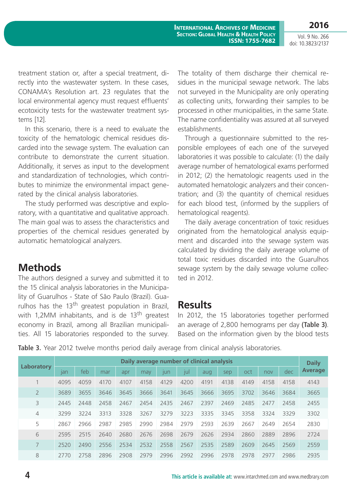Vol. 9 No. 266 doi: 10.3823/2137

**2016**

treatment station or, after a special treatment, directly into the wastewater system. In these cases, CONAMA's Resolution art. 23 regulates that the local environmental agency must request effluents' ecotoxicity tests for the wastewater treatment systems [12].

In this scenario, there is a need to evaluate the toxicity of the hematologic chemical residues discarded into the sewage system. The evaluation can contribute to demonstrate the current situation. Additionally, it serves as input to the development and standardization of technologies, which contributes to minimize the environmental impact generated by the clinical analysis laboratories.

The study performed was descriptive and exploratory, with a quantitative and qualitative approach. The main goal was to assess the characteristics and properties of the chemical residues generated by automatic hematological analyzers.

## **Methods**

The authors designed a survey and submitted it to the 15 clinical analysis laboratories in the Municipality of Guarulhos - State of São Paulo (Brazil). Guarulhos has the  $13<sup>th</sup>$  greatest population in Brazil, with 1,2MM inhabitants, and is de 13<sup>th</sup> greatest economy in Brazil, among all Brazilian municipalities. All 15 laboratories responded to the survey. The totality of them discharge their chemical residues in the municipal sewage network. The labs not surveyed in the Municipality are only operating as collecting units, forwarding their samples to be processed in other municipalities, in the same State. The name confidentiality was assured at all surveyed establishments.

Through a questionnaire submitted to the responsible employees of each one of the surveyed laboratories it was possible to calculate: (1) the daily average number of hematological exams performed in 2012; (2) the hematologic reagents used in the automated hematologic analyzers and their concentration; and (3) the quantity of chemical residues for each blood test, (informed by the suppliers of hematological reagents).

The daily average concentration of toxic residues originated from the hematological analysis equipment and discarded into the sewage system was calculated by dividing the daily average volume of total toxic residues discarded into the Guarulhos sewage system by the daily sewage volume collected in 2012.

### **Results**

In 2012, the 15 laboratories together performed an average of 2,800 hemograms per day **(Table 3)**. Based on the information given by the blood tests

Table 3. Year 2012 twelve months period daily average from clinical analysis laboratories.

|            | Daily average number of clinical analysis |      |      |      |      |      |      |      |      |      | <b>Daily</b> |      |                |
|------------|-------------------------------------------|------|------|------|------|------|------|------|------|------|--------------|------|----------------|
| Laboratory | lan                                       | feb  | mar  | apr  | may  | lun  | [U   | aug  | sep  | oct  | nov          | dec  | <b>Average</b> |
|            | 4095                                      | 4059 | 4170 | 4107 | 4158 | 4129 | 4200 | 4191 | 4138 | 4149 | 4158         | 4158 | 4143           |
|            | 3689                                      | 3655 | 3646 | 3645 | 3666 | 3641 | 3645 | 3666 | 3695 | 3702 | 3646         | 3684 | 3665           |
| 3          | 2445                                      | 2448 | 2458 | 2467 | 2454 | 2435 | 2467 | 2397 | 2469 | 2485 | 2477         | 2458 | 2455           |
| 4          | 3299                                      | 3224 | 3313 | 3328 | 3267 | 3279 | 3223 | 3335 | 3345 | 3358 | 3324         | 3329 | 3302           |
| 5          | 2867                                      | 2966 | 2987 | 2985 | 2990 | 2984 | 2979 | 2593 | 2639 | 2667 | 2649         | 2654 | 2830           |
| 6          | 2595                                      | 2515 | 2640 | 2680 | 2676 | 2698 | 2679 | 2626 | 2934 | 2860 | 2889         | 2896 | 2724           |
|            | 2520                                      | 2490 | 2556 | 2534 | 2532 | 2558 | 2567 | 2535 | 2589 | 2609 | 2645         | 2569 | 2559           |
| 8          | 2770                                      | 2758 | 2896 | 2908 | 2979 | 2996 | 2992 | 2996 | 2978 | 2978 | 2977         | 2986 | 2935           |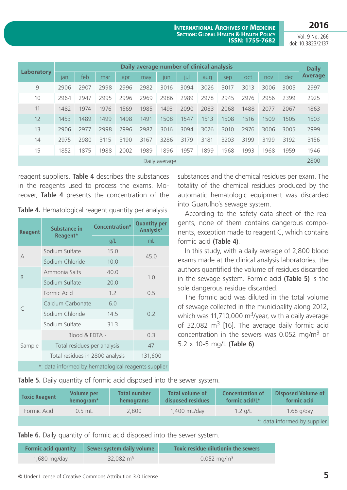**2016**

**International Archives of Medicine Section: Global Health & Health Policy ISSN: 1755-7682**

Vol. 9 No. 266 doi: 10.3823/2137

|               | Daily average number of clinical analysis |      |      |      |      |      |            |      |      |      | <b>Daily</b> |      |                |
|---------------|-------------------------------------------|------|------|------|------|------|------------|------|------|------|--------------|------|----------------|
| Laboratory    | $\mathsf{I}$ an                           | feb  | mar  | apr  | may  | lun  | <b>JUI</b> | aug  | sep  | oct  | nov          | dec  | <b>Average</b> |
| 9             | 2906                                      | 2907 | 2998 | 2996 | 2982 | 3016 | 3094       | 3026 | 3017 | 3013 | 3006         | 3005 | 2997           |
| 10            | 2964                                      | 2947 | 2995 | 2996 | 2969 | 2986 | 2989       | 2978 | 2945 | 2976 | 2956         | 2399 | 2925           |
| 11            | 1482                                      | 1974 | 1976 | 1569 | 1985 | 1493 | 2090       | 2083 | 2068 | 1488 | 2077         | 2067 | 1863           |
| 12            | 1453                                      | 1489 | 1499 | 1498 | 1491 | 1508 | 1547       | 1513 | 1508 | 1516 | 1509         | 1505 | 1503           |
| 13            | 2906                                      | 2977 | 2998 | 2996 | 2982 | 3016 | 3094       | 3026 | 3010 | 2976 | 3006         | 3005 | 2999           |
| 14            | 2975                                      | 2980 | 3115 | 3190 | 3167 | 3286 | 3179       | 3181 | 3203 | 3199 | 3199         | 3192 | 3156           |
| 15            | 1852                                      | 1875 | 1988 | 2002 | 1989 | 1896 | 1957       | 1899 | 1968 | 1993 | 1968         | 1959 | 1946           |
| Daily average |                                           |      |      |      |      |      |            |      | 2800 |      |              |      |                |

reagent suppliers, **Table 4** describes the substances in the reagents used to process the exams. Moreover, **Table 4** presents the concentration of the

Table 4. Hematological reagent quantity per analysis.

| <b>Reagent</b>                                      | Substance in                    | Concentration* | <b>Quantity per</b><br>Analysis* |  |  |
|-----------------------------------------------------|---------------------------------|----------------|----------------------------------|--|--|
|                                                     | Reagent*                        | g/L            | mL                               |  |  |
| A                                                   | Sodium Sulfate                  | 15.0           | 45.0                             |  |  |
|                                                     | Sodium Chloride                 | 10.0           |                                  |  |  |
|                                                     | Ammonia Salts                   | 40.0           | 1.0                              |  |  |
| B                                                   | Sodium Sulfate                  | 20.0           |                                  |  |  |
| $\subset$                                           | Formic Acid                     | 1.2            | 0.5                              |  |  |
|                                                     | Calcium Carbonate               | 6.0            |                                  |  |  |
|                                                     | Sodium Chloride                 | 14.5           | 0.2                              |  |  |
|                                                     | Sodium Sulfate                  |                |                                  |  |  |
|                                                     | Blood & EDTA -                  | 0.3            |                                  |  |  |
| Sample                                              | Total residues per analysis     | 47             |                                  |  |  |
|                                                     | Total residues in 2800 analysis | 131,600        |                                  |  |  |
| *: data informed by hematological reagents supplier |                                 |                |                                  |  |  |

substances and the chemical residues per exam. The totality of the chemical residues produced by the automatic hematologic equipment was discarded into Guarulho´s sewage system.

According to the safety data sheet of the reagents, none of them contains dangerous components, exception made to reagent C, which contains formic acid **(Table 4)**.

In this study, with a daily average of 2,800 blood exams made at the clinical analysis laboratories, the authors quantified the volume of residues discarded in the sewage system. Formic acid **(Table 5)** is the sole dangerous residue discarded.

The formic acid was diluted in the total volume of sewage collected in the municipality along 2012, which was 11,710,000  $\text{m}^3$ /year, with a daily average of 32,082  $m^3$  [16]. The average daily formic acid concentration in the sewers was 0.052 mg/m3 or 5.2 x 10-5 mg/L **(Table 6)**.

**Table 5.** Daily quantity of formic acid disposed into the sewer system.

| <b>Toxic Reagent</b> | Volume per<br>hemogram* | <b>Total number</b><br><b>hemograms</b> | Total volume of<br>disposed residues | <b>Concentration of</b><br>formic acid/L* | <b>Disposed Volume of</b><br>formic acid |  |  |
|----------------------|-------------------------|-----------------------------------------|--------------------------------------|-------------------------------------------|------------------------------------------|--|--|
| Formic Acid          | $0.5$ mL                | 2,800                                   | $1,400$ mL/day                       | $1.2$ a/L                                 | $1.68$ g/day                             |  |  |
|                      |                         |                                         |                                      |                                           | *: data informed by supplier             |  |  |

**Table 6.** Daily quantity of formic acid disposed into the sewer system.

| <b>Formic acid quantity</b> | Sewer system daily volume | <b>Toxic residue dilutionin the sewers</b> |
|-----------------------------|---------------------------|--------------------------------------------|
| 1,680 mg/day                | $32.082 \text{ m}^3$      | $0.052 \,\mathrm{mg/m^3}$                  |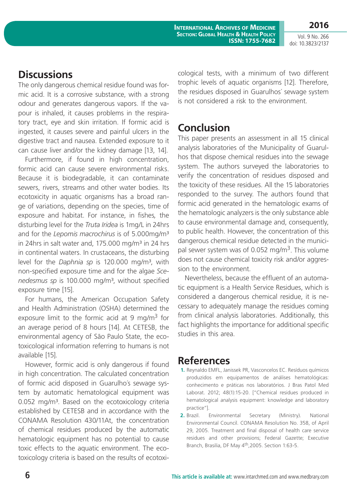**International Archives of Medicine Section: Global Health & Health Policy ISSN: 1755-7682**

Vol. 9 No. 266 doi: 10.3823/2137

**2016**

# **Discussions**

The only dangerous chemical residue found was formic acid. It is a corrosive substance, with a strong odour and generates dangerous vapors. If the vapour is inhaled, it causes problems in the respiratory tract, eye and skin irritation. If formic acid is ingested, it causes severe and painful ulcers in the digestive tract and nausea. Extended exposure to it can cause liver and/or the kidney damage [13, 14].

Furthermore, if found in high concentration, formic acid can cause severe environmental risks. Because it is biodegradable, it can contaminate sewers, rivers, streams and other water bodies. Its ecotoxicity in aquatic organisms has a broad range of variations, depending on the species, time of exposure and habitat. For instance, in fishes*,* the disturbing level for the *Truta Iridea* is 1mg/L in 24hrs and for the *Lepomis macrochirus* is of 5.000mg/m³ in 24hrs in salt water and,  $175.000$  mg/m<sup>3</sup> in 24 hrs in continental waters. In crustaceans, the disturbing level for the *Daphnia sp* is 120.000 mg/m³, with non-specified exposure time and for the algae *Scenedesmus sp* is 100.000 mg/m³, without specified exposure time [15].

For humans, the American Occupation Safety and Health Administration (OSHA) determined the exposure limit to the formic acid at 9 mg/m<sup>3</sup> for an average period of 8 hours [14]. At CETESB, the environmental agency of São Paulo State, the ecotoxicological information referring to humans is not available [15].

However, formic acid is only dangerous if found in high concentration. The calculated concentration of formic acid disposed in Guarulho´s sewage system by automatic hematological equipment was 0.052 mg/m<sup>3</sup>. Based on the ecotoxicology criteria established by CETESB and in accordance with the CONAMA Resolution 430/11At, the concentration of chemical residues produced by the automatic hematologic equipment has no potential to cause toxic effects to the aquatic environment. The ecotoxicology criteria is based on the results of ecotoxicological tests, with a minimum of two different trophic levels of aquatic organisms [12]. Therefore, the residues disposed in Guarulhos´ sewage system is not considered a risk to the environment.

# **Conclusion**

This paper presents an assessment in all 15 clinical analysis laboratories of the Municipality of Guarulhos that dispose chemical residues into the sewage system. The authors surveyed the laboratories to verify the concentration of residues disposed and the toxicity of these residues. All the 15 laboratories responded to the survey. The authors found that formic acid generated in the hematologic exams of the hematologic analyzers is the only substance able to cause environmental damage and, consequently, to public health. However, the concentration of this dangerous chemical residue detected in the municipal sewer system was of 0.052 mg/m<sup>3</sup>. This volume does not cause chemical toxicity risk and/or aggression to the environment.

Nevertheless, because the effluent of an automatic equipment is a Health Service Residues, which is considered a dangerous chemical residue, it is necessary to adequately manage the residues coming from clinical analysis laboratories. Additionally, this fact highlights the importance for additional specific studies in this area.

# **References**

- **1.** Reynaldo EMFL, Janissek PR, Vasconcelos EC. Resíduos químicos produzidos em equipamentos de análises hematológicas: conhecimento e práticas nos laboratórios. J Bras Patol Med Laborat. 2012; 48(1):15-20. ["Chemical residues produced in hematological analysis equipment: knowledge and laboratory practice"].
- **2.** Brazil. Environmental Secretary (Ministry). National Environmental Council. CONAMA Resolution No. 358, of April 29, 2005. Treatment and final disposal of health care service residues and other provisions; Federal Gazette; Executive Branch, Brasilia, DF May 4th,2005. Section 1:63-5.